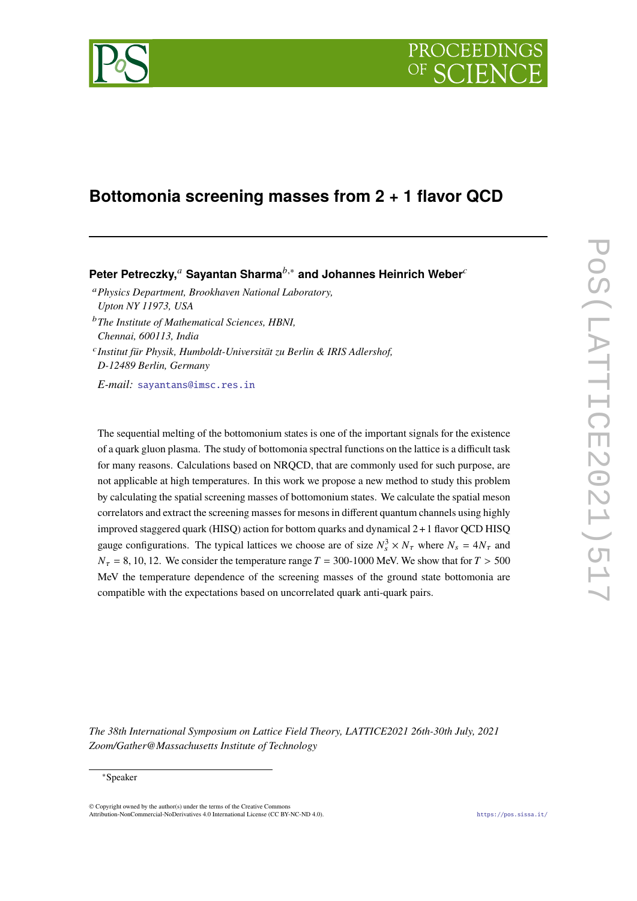

# **Bottomonia screening masses from 2 + 1 flavor QCD**

**Peter Petreczky,<sup>***a***</sup> Sayantan Sharma<sup>***b***,∗</sup> and Johannes Heinrich Weber<sup>***c***</sup>** 

<sup>𝑎</sup>*Physics Department, Brookhaven National Laboratory, Upton NY 11973, USA*

<sup>b</sup>The Institute of Mathematical Sciences, HBNI, *Chennai, 600113, India*

𝑐 *Institut für Physik, Humboldt-Universität zu Berlin & IRIS Adlershof, D-12489 Berlin, Germany*

*E-mail:* [sayantans@imsc.res.in](mailto:sayantans@imsc.res.in)

The sequential melting of the bottomonium states is one of the important signals for the existence of a quark gluon plasma. The study of bottomonia spectral functions on the lattice is a difficult task for many reasons. Calculations based on NRQCD, that are commonly used for such purpose, are not applicable at high temperatures. In this work we propose a new method to study this problem by calculating the spatial screening masses of bottomonium states. We calculate the spatial meson correlators and extract the screening masses for mesons in different quantum channels using highly improved staggered quark (HISQ) action for bottom quarks and dynamical 2+1 flavor QCD HISQ gauge configurations. The typical lattices we choose are of size  $N_s^3 \times N_\tau$  where  $N_s = 4N_\tau$  and  $N_{\tau}$  = 8, 10, 12. We consider the temperature range  $T = 300$ -1000 MeV. We show that for  $T > 500$ MeV the temperature dependence of the screening masses of the ground state bottomonia are compatible with the expectations based on uncorrelated quark anti-quark pairs.

*The 38th International Symposium on Lattice Field Theory, LATTICE2021 26th-30th July, 2021 Zoom/Gather@Massachusetts Institute of Technology*

#### ∗Speaker

 $\odot$  Copyright owned by the author(s) under the terms of the Creative Common Attribution-NonCommercial-NoDerivatives 4.0 International License (CC BY-NC-ND 4.0). <https://pos.sissa.it/>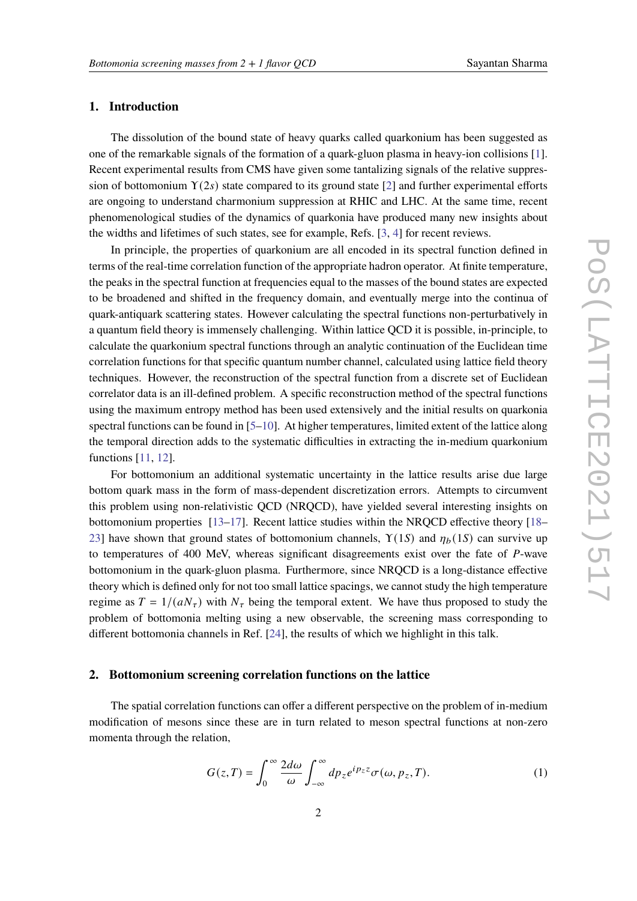# **1. Introduction**

The dissolution of the bound state of heavy quarks called quarkonium has been suggested as one of the remarkable signals of the formation of a quark-gluon plasma in heavy-ion collisions [\[1\]](#page-6-0). Recent experimental results from CMS have given some tantalizing signals of the relative suppression of bottomonium  $Y(2s)$  state compared to its ground state [\[2\]](#page-6-1) and further experimental efforts are ongoing to understand charmonium suppression at RHIC and LHC. At the same time, recent phenomenological studies of the dynamics of quarkonia have produced many new insights about the widths and lifetimes of such states, see for example, Refs. [\[3,](#page-6-2) [4\]](#page-6-3) for recent reviews.

In principle, the properties of quarkonium are all encoded in its spectral function defined in terms of the real-time correlation function of the appropriate hadron operator. At finite temperature, the peaks in the spectral function at frequencies equal to the masses of the bound states are expected to be broadened and shifted in the frequency domain, and eventually merge into the continua of quark-antiquark scattering states. However calculating the spectral functions non-perturbatively in a quantum field theory is immensely challenging. Within lattice QCD it is possible, in-principle, to calculate the quarkonium spectral functions through an analytic continuation of the Euclidean time correlation functions for that specific quantum number channel, calculated using lattice field theory techniques. However, the reconstruction of the spectral function from a discrete set of Euclidean correlator data is an ill-defined problem. A specific reconstruction method of the spectral functions using the maximum entropy method has been used extensively and the initial results on quarkonia spectral functions can be found in [\[5](#page-6-4)[–10\]](#page-7-0). At higher temperatures, limited extent of the lattice along the temporal direction adds to the systematic difficulties in extracting the in-medium quarkonium functions [\[11,](#page-7-1) [12\]](#page-7-2).

For bottomonium an additional systematic uncertainty in the lattice results arise due large bottom quark mass in the form of mass-dependent discretization errors. Attempts to circumvent this problem using non-relativistic QCD (NRQCD), have yielded several interesting insights on bottomonium properties [\[13](#page-7-3)[–17\]](#page-7-4). Recent lattice studies within the NRQCD effective theory [\[18–](#page-7-5) [23\]](#page-8-0) have shown that ground states of bottomonium channels,  $\Upsilon(1S)$  and  $\eta_b(1S)$  can survive up to temperatures of 400 MeV, whereas significant disagreements exist over the fate of P-wave bottomonium in the quark-gluon plasma. Furthermore, since NRQCD is a long-distance effective theory which is defined only for not too small lattice spacings, we cannot study the high temperature regime as  $T = 1/(aN_{\tau})$  with  $N_{\tau}$  being the temporal extent. We have thus proposed to study the problem of bottomonia melting using a new observable, the screening mass corresponding to different bottomonia channels in Ref. [\[24\]](#page-8-1), the results of which we highlight in this talk.

## **2. Bottomonium screening correlation functions on the lattice**

The spatial correlation functions can offer a different perspective on the problem of in-medium modification of mesons since these are in turn related to meson spectral functions at non-zero momenta through the relation,

$$
G(z,T) = \int_0^\infty \frac{2d\omega}{\omega} \int_{-\infty}^\infty dp_z e^{ip_z z} \sigma(\omega, p_z, T). \tag{1}
$$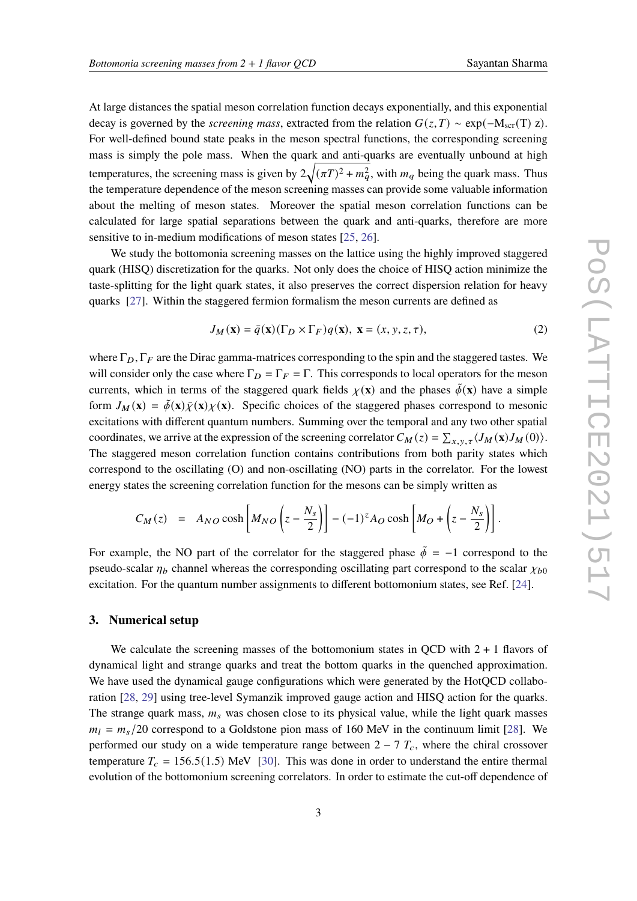At large distances the spatial meson correlation function decays exponentially, and this exponential decay is governed by the *screening mass*, extracted from the relation  $G(z,T) \sim \exp(-M_{\rm scr}(T) z)$ . For well-defined bound state peaks in the meson spectral functions, the corresponding screening mass is simply the pole mass. When the quark and anti-quarks are eventually unbound at high temperatures, the screening mass is given by  $2\sqrt{(\pi T)^2 + m_a^2}$ , with  $m_q$  being the quark mass. Thus the temperature dependence of the meson screening masses can provide some valuable information about the melting of meson states. Moreover the spatial meson correlation functions can be calculated for large spatial separations between the quark and anti-quarks, therefore are more sensitive to in-medium modifications of meson states [\[25,](#page-8-2) [26\]](#page-8-3).

We study the bottomonia screening masses on the lattice using the highly improved staggered quark (HISQ) discretization for the quarks. Not only does the choice of HISQ action minimize the taste-splitting for the light quark states, it also preserves the correct dispersion relation for heavy quarks [\[27\]](#page-8-4). Within the staggered fermion formalism the meson currents are defined as

$$
J_M(\mathbf{x}) = \bar{q}(\mathbf{x}) (\Gamma_D \times \Gamma_F) q(\mathbf{x}), \ \mathbf{x} = (x, y, z, \tau), \tag{2}
$$

where  $\Gamma_D$ ,  $\Gamma_F$  are the Dirac gamma-matrices corresponding to the spin and the staggered tastes. We will consider only the case where  $\Gamma_D = \Gamma_F = \Gamma$ . This corresponds to local operators for the meson currents, which in terms of the staggered quark fields  $\chi(\mathbf{x})$  and the phases  $\phi(\mathbf{x})$  have a simple form  $J_M(\mathbf{x}) = \tilde{\phi}(\mathbf{x}) \tilde{\chi}(\mathbf{x}) \chi(\mathbf{x})$ . Specific choices of the staggered phases correspond to mesonic excitations with different quantum numbers. Summing over the temporal and any two other spatial coordinates, we arrive at the expression of the screening correlator  $C_M(z) = \sum_{x,y,\tau} \langle J_M(\mathbf{x}) J_M(0) \rangle$ . The staggered meson correlation function contains contributions from both parity states which correspond to the oscillating (O) and non-oscillating (NO) parts in the correlator. For the lowest energy states the screening correlation function for the mesons can be simply written as

<span id="page-2-0"></span>
$$
C_M(z) = A_{NO} \cosh \left[ M_{NO} \left( z - \frac{N_s}{2} \right) \right] - (-1)^z A_O \cosh \left[ M_O + \left( z - \frac{N_s}{2} \right) \right].
$$

For example, the NO part of the correlator for the staggered phase  $\tilde{\phi} = -1$  correspond to the pseudo-scalar  $\eta_b$  channel whereas the corresponding oscillating part correspond to the scalar  $\chi_{b0}$ excitation. For the quantum number assignments to different bottomonium states, see Ref. [\[24\]](#page-8-1).

#### **3. Numerical setup**

We calculate the screening masses of the bottomonium states in QCD with  $2 + 1$  flavors of dynamical light and strange quarks and treat the bottom quarks in the quenched approximation. We have used the dynamical gauge configurations which were generated by the HotQCD collaboration [\[28,](#page-8-5) [29\]](#page-8-6) using tree-level Symanzik improved gauge action and HISQ action for the quarks. The strange quark mass,  $m_s$  was chosen close to its physical value, while the light quark masses  $m_l = m_s/20$  correspond to a Goldstone pion mass of 160 MeV in the continuum limit [\[28\]](#page-8-5). We performed our study on a wide temperature range between  $2 - 7 T_c$ , where the chiral crossover temperature  $T_c = 156.5(1.5)$  MeV [\[30\]](#page-8-7). This was done in order to understand the entire thermal evolution of the bottomonium screening correlators. In order to estimate the cut-off dependence of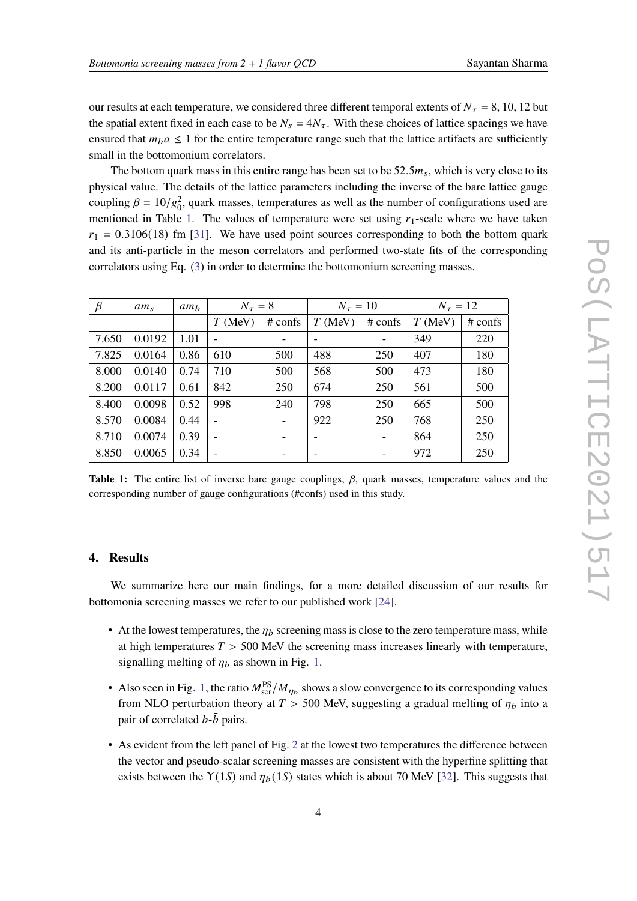our results at each temperature, we considered three different temporal extents of  $N_{\tau} = 8, 10, 12$  but the spatial extent fixed in each case to be  $N_s = 4N_{\tau}$ . With these choices of lattice spacings we have ensured that  $m_b a \le 1$  for the entire temperature range such that the lattice artifacts are sufficiently small in the bottomonium correlators.

The bottom quark mass in this entire range has been set to be  $52.5m_s$ , which is very close to its physical value. The details of the lattice parameters including the inverse of the bare lattice gauge coupling  $\beta = 10/g_0^2$ , quark masses, temperatures as well as the number of configurations used are mentioned in Table [1.](#page-3-0) The values of temperature were set using  $r_1$ -scale where we have taken  $r_1 = 0.3106(18)$  fm [\[31\]](#page-8-8). We have used point sources corresponding to both the bottom quark and its anti-particle in the meson correlators and performed two-state fits of the corresponding correlators using Eq. [\(3\)](#page-2-0) in order to determine the bottomonium screening masses.

<span id="page-3-0"></span>

| $\beta$ | $am_{s}$ | am <sub>b</sub> | $N_\tau=8$               |                          | $N_{\tau} = 10$              |                          | $N_{\tau} = 12$ |         |
|---------|----------|-----------------|--------------------------|--------------------------|------------------------------|--------------------------|-----------------|---------|
|         |          |                 | $T$ (MeV)                | $#$ confs                | $T$ (MeV)                    | $#$ confs                | $T$ (MeV)       | # confs |
| 7.650   | 0.0192   | 1.01            |                          |                          | $\qquad \qquad \blacksquare$ | $\overline{\phantom{a}}$ | 349             | 220     |
| 7.825   | 0.0164   | 0.86            | 610                      | 500                      | 488                          | 250                      | 407             | 180     |
| 8.000   | 0.0140   | 0.74            | 710                      | 500                      | 568                          | 500                      | 473             | 180     |
| 8.200   | 0.0117   | 0.61            | 842                      | 250                      | 674                          | 250                      | 561             | 500     |
| 8.400   | 0.0098   | 0.52            | 998                      | 240                      | 798                          | 250                      | 665             | 500     |
| 8.570   | 0.0084   | 0.44            |                          | $\overline{\phantom{a}}$ | 922                          | 250                      | 768             | 250     |
| 8.710   | 0.0074   | 0.39            | $\overline{\phantom{a}}$ |                          | $\overline{\phantom{a}}$     | $\overline{\phantom{a}}$ | 864             | 250     |
| 8.850   | 0.0065   | 0.34            |                          |                          | $\overline{\phantom{a}}$     |                          | 972             | 250     |

**Table 1:** The entire list of inverse bare gauge couplings,  $\beta$ , quark masses, temperature values and the corresponding number of gauge configurations (#confs) used in this study.

## **4. Results**

We summarize here our main findings, for a more detailed discussion of our results for bottomonia screening masses we refer to our published work [\[24\]](#page-8-1).

- At the lowest temperatures, the  $\eta_b$  screening mass is close to the zero temperature mass, while at high temperatures  $T > 500$  MeV the screening mass increases linearly with temperature, signalling melting of  $\eta_b$  as shown in Fig. [1.](#page-4-0)
- Also seen in Fig. [1,](#page-4-0) the ratio  $M_{\rm scr}^{\rm PS}/M_{\eta_b}$  shows a slow convergence to its corresponding values from NLO perturbation theory at  $T > 500$  MeV, suggesting a gradual melting of  $\eta_b$  into a pair of correlated  $b-\bar{b}$  pairs.
- As evident from the left panel of Fig. [2](#page-5-0) at the lowest two temperatures the difference between the vector and pseudo-scalar screening masses are consistent with the hyperfine splitting that exists between the  $Y(1S)$  and  $\eta_b(1S)$  states which is about 70 MeV [\[32\]](#page-8-9). This suggests that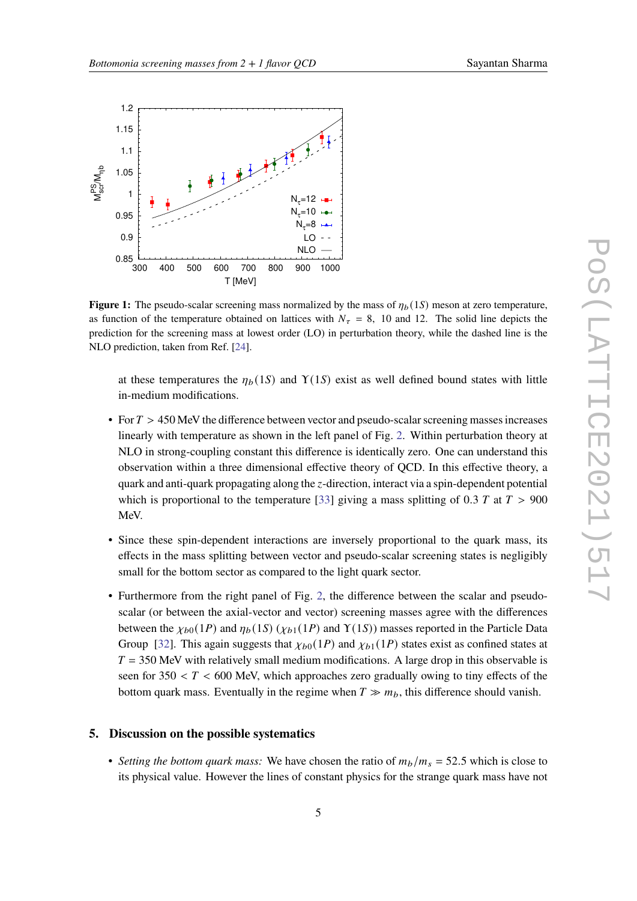<span id="page-4-0"></span>

**Figure 1:** The pseudo-scalar screening mass normalized by the mass of  $\eta_b(1S)$  meson at zero temperature, as function of the temperature obtained on lattices with  $N_{\tau} = 8$ , 10 and 12. The solid line depicts the prediction for the screening mass at lowest order (LO) in perturbation theory, while the dashed line is the NLO prediction, taken from Ref. [\[24\]](#page-8-1).

at these temperatures the  $\eta_b(1S)$  and  $\Upsilon(1S)$  exist as well defined bound states with little in-medium modifications.

- For  $T > 450$  MeV the difference between vector and pseudo-scalar screening masses increases linearly with temperature as shown in the left panel of Fig. [2.](#page-5-0) Within perturbation theory at NLO in strong-coupling constant this difference is identically zero. One can understand this observation within a three dimensional effective theory of QCD. In this effective theory, a quark and anti-quark propagating along the  $z$ -direction, interact via a spin-dependent potential which is proportional to the temperature [\[33\]](#page-8-10) giving a mass splitting of 0.3 T at  $T > 900$ MeV.
- Since these spin-dependent interactions are inversely proportional to the quark mass, its effects in the mass splitting between vector and pseudo-scalar screening states is negligibly small for the bottom sector as compared to the light quark sector.
- Furthermore from the right panel of Fig. [2,](#page-5-0) the difference between the scalar and pseudoscalar (or between the axial-vector and vector) screening masses agree with the differences between the  $\chi_{b0}(1P)$  and  $\eta_b(1S)(\chi_{b1}(1P)$  and  $\Upsilon(1S))$  masses reported in the Particle Data Group [\[32\]](#page-8-9). This again suggests that  $\chi_{b0}(1P)$  and  $\chi_{b1}(1P)$  states exist as confined states at  $T = 350$  MeV with relatively small medium modifications. A large drop in this observable is seen for  $350 < T < 600$  MeV, which approaches zero gradually owing to tiny effects of the bottom quark mass. Eventually in the regime when  $T \gg m_b$ , this difference should vanish.

## **5. Discussion on the possible systematics**

• *Setting the bottom quark mass:* We have chosen the ratio of  $m_b/m_s = 52.5$  which is close to its physical value. However the lines of constant physics for the strange quark mass have not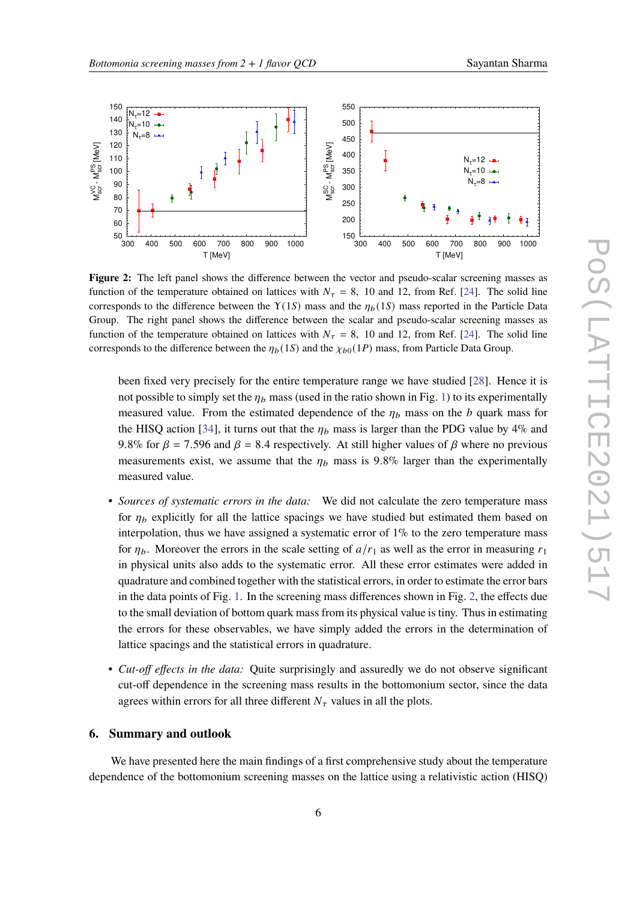<span id="page-5-0"></span>

**Figure 2:** The left panel shows the difference between the vector and pseudo-scalar screening masses as function of the temperature obtained on lattices with  $N_{\tau} = 8$ , 10 and 12, from Ref. [\[24\]](#page-8-1). The solid line corresponds to the difference between the  $\Upsilon(1S)$  mass and the  $\eta_b(1S)$  mass reported in the Particle Data Group. The right panel shows the difference between the scalar and pseudo-scalar screening masses as function of the temperature obtained on lattices with  $N_{\tau} = 8$ , 10 and 12, from Ref. [\[24\]](#page-8-1). The solid line corresponds to the difference between the  $\eta_b(1S)$  and the  $\chi_{b0}(1P)$  mass, from Particle Data Group.

been fixed very precisely for the entire temperature range we have studied [\[28\]](#page-8-5). Hence it is not possible to simply set the  $\eta_b$  mass (used in the ratio shown in Fig. [1\)](#page-4-0) to its experimentally measured value. From the estimated dependence of the  $\eta_b$  mass on the  $b$  quark mass for the HISQ action [\[34\]](#page-8-11), it turns out that the  $\eta_b$  mass is larger than the PDG value by 4% and 9.8% for  $\beta$  = 7.596 and  $\beta$  = 8.4 respectively. At still higher values of  $\beta$  where no previous measurements exist, we assume that the  $\eta_b$  mass is 9.8% larger than the experimentally measured value.

- *Sources of systematic errors in the data:* We did not calculate the zero temperature mass for  $\eta_b$  explicitly for all the lattice spacings we have studied but estimated them based on interpolation, thus we have assigned a systematic error of  $1\%$  to the zero temperature mass for  $\eta_b$ . Moreover the errors in the scale setting of  $a/r_1$  as well as the error in measuring  $r_1$ in physical units also adds to the systematic error. All these error estimates were added in quadrature and combined together with the statistical errors, in order to estimate the error bars in the data points of Fig. [1.](#page-4-0) In the screening mass differences shown in Fig. [2,](#page-5-0) the effects due to the small deviation of bottom quark mass from its physical value is tiny. Thus in estimating the errors for these observables, we have simply added the errors in the determination of lattice spacings and the statistical errors in quadrature.
- *Cut-off effects in the data:* Quite surprisingly and assuredly we do not observe significant cut-off dependence in the screening mass results in the bottomonium sector, since the data agrees within errors for all three different  $N_{\tau}$  values in all the plots.

## **6. Summary and outlook**

We have presented here the main findings of a first comprehensive study about the temperature dependence of the bottomonium screening masses on the lattice using a relativistic action (HISQ)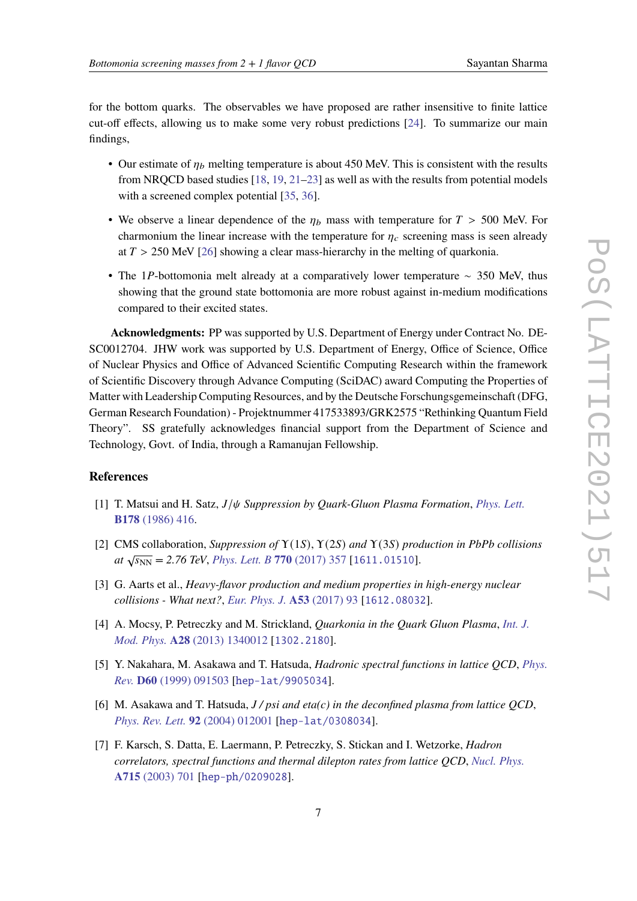for the bottom quarks. The observables we have proposed are rather insensitive to finite lattice cut-off effects, allowing us to make some very robust predictions [\[24\]](#page-8-1). To summarize our main findings,

- Our estimate of  $\eta_b$  melting temperature is about 450 MeV. This is consistent with the results from NRQCD based studies [\[18,](#page-7-5) [19,](#page-7-6) [21](#page-7-7)[–23\]](#page-8-0) as well as with the results from potential models with a screened complex potential [\[35,](#page-8-12) [36\]](#page-8-13).
- We observe a linear dependence of the  $\eta_b$  mass with temperature for  $T > 500$  MeV. For charmonium the linear increase with the temperature for  $\eta_c$  screening mass is seen already at  $T > 250$  MeV [\[26\]](#page-8-3) showing a clear mass-hierarchy in the melting of quarkonia.
- The 1P-bottomonia melt already at a comparatively lower temperature  $\sim$  350 MeV, thus showing that the ground state bottomonia are more robust against in-medium modifications compared to their excited states.

**Acknowledgments:** PP was supported by U.S. Department of Energy under Contract No. DE-SC0012704. JHW work was supported by U.S. Department of Energy, Office of Science, Office of Nuclear Physics and Office of Advanced Scientific Computing Research within the framework of Scientific Discovery through Advance Computing (SciDAC) award Computing the Properties of Matter with Leadership Computing Resources, and by the Deutsche Forschungsgemeinschaft (DFG, German Research Foundation) - Projektnummer 417533893/GRK2575 "Rethinking Quantum Field Theory". SS gratefully acknowledges financial support from the Department of Science and Technology, Govt. of India, through a Ramanujan Fellowship.

## **References**

- <span id="page-6-0"></span>[1] T. Matsui and H. Satz,  $J/\psi$  *Suppression by Quark-Gluon Plasma Formation*, *[Phys. Lett.](https://doi.org/10.1016/0370-2693(86)91404-8)* **B178** [\(1986\) 416.](https://doi.org/10.1016/0370-2693(86)91404-8)
- <span id="page-6-1"></span>[2] CMS collaboration, *Suppression of* Υ(1𝑆), Υ(2𝑆) *and* Υ(3𝑆) *production in PbPb collisions*  $\frac{d}{dx} \sqrt{s_{NN}} = 2.76$  TeV, *[Phys. Lett. B](https://doi.org/10.1016/j.physletb.2017.04.031)* 770 (2017) 357 [[1611.01510](https://arxiv.org/abs/1611.01510)].
- <span id="page-6-2"></span>[3] G. Aarts et al., *Heavy-flavor production and medium properties in high-energy nuclear collisions - What next?*, *[Eur. Phys. J.](https://doi.org/10.1140/epja/i2017-12282-9)* **A53** (2017) 93 [[1612.08032](https://arxiv.org/abs/1612.08032)].
- <span id="page-6-3"></span>[4] A. Mocsy, P. Petreczky and M. Strickland, *Quarkonia in the Quark Gluon Plasma*, *[Int. J.](https://doi.org/10.1142/S0217751X13400125) Mod. Phys.* **A28** [\(2013\) 1340012](https://doi.org/10.1142/S0217751X13400125) [[1302.2180](https://arxiv.org/abs/1302.2180)].
- <span id="page-6-4"></span>[5] Y. Nakahara, M. Asakawa and T. Hatsuda, *Hadronic spectral functions in lattice QCD*, *[Phys.](https://doi.org/10.1103/PhysRevD.60.091503) Rev.* **D60** [\(1999\) 091503](https://doi.org/10.1103/PhysRevD.60.091503) [[hep-lat/9905034](https://arxiv.org/abs/hep-lat/9905034)].
- [6] M. Asakawa and T. Hatsuda, *J / psi and eta(c) in the deconfined plasma from lattice QCD*, *[Phys. Rev. Lett.](https://doi.org/10.1103/PhysRevLett.92.012001)* **92** (2004) 012001 [[hep-lat/0308034](https://arxiv.org/abs/hep-lat/0308034)].
- [7] F. Karsch, S. Datta, E. Laermann, P. Petreczky, S. Stickan and I. Wetzorke, *Hadron correlators, spectral functions and thermal dilepton rates from lattice QCD*, *[Nucl. Phys.](https://doi.org/10.1016/S0375-9474(02)01470-7)* **A715** [\(2003\) 701](https://doi.org/10.1016/S0375-9474(02)01470-7) [[hep-ph/0209028](https://arxiv.org/abs/hep-ph/0209028)].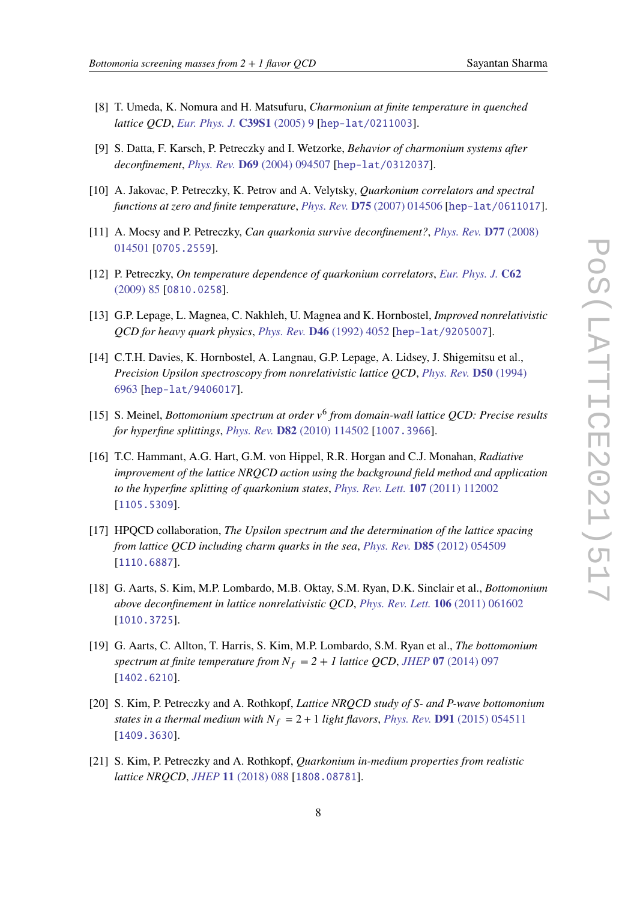- [8] T. Umeda, K. Nomura and H. Matsufuru, *Charmonium at finite temperature in quenched lattice QCD*, *[Eur. Phys. J.](https://doi.org/10.1140/epjcd/s2004-01-002-1)* **C39S1** (2005) 9 [[hep-lat/0211003](https://arxiv.org/abs/hep-lat/0211003)].
- [9] S. Datta, F. Karsch, P. Petreczky and I. Wetzorke, *Behavior of charmonium systems after deconfinement*, *Phys. Rev.* **D69** [\(2004\) 094507](https://doi.org/10.1103/PhysRevD.69.094507) [[hep-lat/0312037](https://arxiv.org/abs/hep-lat/0312037)].
- <span id="page-7-0"></span>[10] A. Jakovac, P. Petreczky, K. Petrov and A. Velytsky, *Quarkonium correlators and spectral functions at zero and finite temperature*, *Phys. Rev.* **D75** [\(2007\) 014506](https://doi.org/10.1103/PhysRevD.75.014506) [[hep-lat/0611017](https://arxiv.org/abs/hep-lat/0611017)].
- <span id="page-7-1"></span>[11] A. Mocsy and P. Petreczky, *Can quarkonia survive deconfinement?*, *[Phys. Rev.](https://doi.org/10.1103/PhysRevD.77.014501)* **D77** (2008) [014501](https://doi.org/10.1103/PhysRevD.77.014501) [[0705.2559](https://arxiv.org/abs/0705.2559)].
- <span id="page-7-2"></span>[12] P. Petreczky, *On temperature dependence of quarkonium correlators*, *[Eur. Phys. J.](https://doi.org/10.1140/epjc/s10052-009-0942-1)* **C62** [\(2009\) 85](https://doi.org/10.1140/epjc/s10052-009-0942-1) [[0810.0258](https://arxiv.org/abs/0810.0258)].
- <span id="page-7-3"></span>[13] G.P. Lepage, L. Magnea, C. Nakhleh, U. Magnea and K. Hornbostel, *Improved nonrelativistic QCD for heavy quark physics*, *[Phys. Rev.](https://doi.org/10.1103/PhysRevD.46.4052)* **D46** (1992) 4052 [[hep-lat/9205007](https://arxiv.org/abs/hep-lat/9205007)].
- [14] C.T.H. Davies, K. Hornbostel, A. Langnau, G.P. Lepage, A. Lidsey, J. Shigemitsu et al., *Precision Upsilon spectroscopy from nonrelativistic lattice QCD*, *[Phys. Rev.](https://doi.org/10.1103/PhysRevD.50.6963)* **D50** (1994) [6963](https://doi.org/10.1103/PhysRevD.50.6963) [[hep-lat/9406017](https://arxiv.org/abs/hep-lat/9406017)].
- [15] S. Meinel, *Bottomonium spectrum at order*  $v^6$  *from domain-wall lattice QCD: Precise results for hyperfine splittings*, *Phys. Rev.* **D82** [\(2010\) 114502](https://doi.org/10.1103/PhysRevD.82.114502) [[1007.3966](https://arxiv.org/abs/1007.3966)].
- [16] T.C. Hammant, A.G. Hart, G.M. von Hippel, R.R. Horgan and C.J. Monahan, *Radiative improvement of the lattice NRQCD action using the background field method and application to the hyperfine splitting of quarkonium states*, *[Phys. Rev. Lett.](https://doi.org/10.1103/PhysRevLett.107.112002, 10.1103/PhysRevLett.115.039901)* **107** (2011) 112002 [[1105.5309](https://arxiv.org/abs/1105.5309)].
- <span id="page-7-4"></span>[17] HPQCD collaboration, *The Upsilon spectrum and the determination of the lattice spacing from lattice QCD including charm quarks in the sea*, *Phys. Rev.* **D85** [\(2012\) 054509](https://doi.org/10.1103/PhysRevD.85.054509) [[1110.6887](https://arxiv.org/abs/1110.6887)].
- <span id="page-7-5"></span>[18] G. Aarts, S. Kim, M.P. Lombardo, M.B. Oktay, S.M. Ryan, D.K. Sinclair et al., *Bottomonium above deconfinement in lattice nonrelativistic QCD*, *[Phys. Rev. Lett.](https://doi.org/10.1103/PhysRevLett.106.061602)* **106** (2011) 061602 [[1010.3725](https://arxiv.org/abs/1010.3725)].
- <span id="page-7-6"></span>[19] G. Aarts, C. Allton, T. Harris, S. Kim, M.P. Lombardo, S.M. Ryan et al., *The bottomonium spectrum at finite temperature from*  $N_f = 2 + 1$  *lattice QCD*, *JHEP* 07 [\(2014\) 097](https://doi.org/10.1007/JHEP07(2014)097) [[1402.6210](https://arxiv.org/abs/1402.6210)].
- [20] S. Kim, P. Petreczky and A. Rothkopf, *Lattice NRQCD study of S- and P-wave bottomonium states in a thermal medium with*  $N_f = 2 + 1$  *light flavors, Phys. Rev.* **D91** [\(2015\) 054511](https://doi.org/10.1103/PhysRevD.91.054511) [[1409.3630](https://arxiv.org/abs/1409.3630)].
- <span id="page-7-7"></span>[21] S. Kim, P. Petreczky and A. Rothkopf, *Quarkonium in-medium properties from realistic lattice NRQCD*, *JHEP* **11** [\(2018\) 088](https://doi.org/10.1007/JHEP11(2018)088) [[1808.08781](https://arxiv.org/abs/1808.08781)].